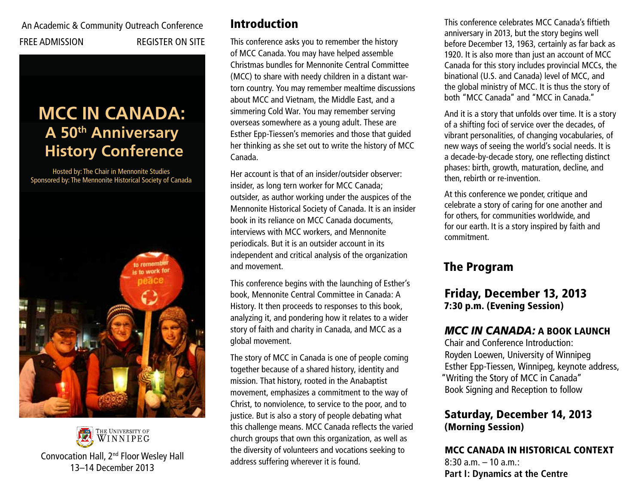# An Academic & Community Outreach Conference FREE ADMISSION REGISTER ON SITE

# **A 50<sup>th</sup> Anniversary History Conference MCC IN CANADA:**

Hosted by: The Chair in Mennonite Studies Sponsored by: The Mennonite Historical Society of Canada





# Introduction

This conference asks you to remember the history of MCC Canada. You may have helped assemble Christmas bundles for Mennonite Central Committee (MCC) to share with needy children in a distant wartorn country. You may remember mealtime discussions about MCC and Vietnam, the Middle East, and a simmering Cold War. You may remember serving overseas somewhere as a young adult. These are Esther Epp-Tiessen's memories and those that guided her thinking as she set out to write the history of MCC Canada.

Her account is that of an insider/outsider observer: insider, as long tern worker for MCC Canada; outsider, as author working under the auspices of the Mennonite Historical Society of Canada. It is an insider book in its reliance on MCC Canada documents, interviews with MCC workers, and Mennonite periodicals. But it is an outsider account in its independent and critical analysis of the organization and movement.

This conference begins with the launching of Esther's book, Mennonite Central Committee in Canada: A History. It then proceeds to responses to this book, analyzing it, and pondering how it relates to a wider story of faith and charity in Canada, and MCC as a global movement.

The story of MCC in Canada is one of people coming together because of a shared history, identity and mission. That history, rooted in the Anabaptist movement, emphasizes a commitment to the way of Christ, to nonviolence, to service to the poor, and to justice. But is also a story of people debating what this challenge means. MCC Canada reflects the varied church groups that own this organization, as well as the diversity of volunteers and vocations seeking to address suffering wherever it is found.

This conference celebrates MCC Canada's fiftieth anniversary in 2013, but the story begins well before December 13, 1963, certainly as far back as 1920. It is also more than just an account of MCC Canada for this story includes provincial MCCs, the binational (U.S. and Canada) level of MCC, and the global ministry of MCC. It is thus the story of both "MCC Canada" and "MCC in Canada."

And it is a story that unfolds over time. It is a story of a shifting foci of service over the decades, of vibrant personalities, of changing vocabularies, of new ways of seeing the world's social needs. It is a decade-by-decade story, one reflecting distinct phases: birth, growth, maturation, decline, and then, rebirth or re-invention.

At this conference we ponder, critique and celebrate a story of caring for one another and for others, for communities worldwide, and for our earth. It is a story inspired by faith and commitment.

# The Program

# Friday, December 13, 2013 7:30 p.m. (Evening Session)

### *MCC IN CANADA:* A BOOK LAUNCH

Chair and Conference Introduction: Royden Loewen, University of Winnipeg Esther Epp-Tiessen, Winnipeg, keynote address, "Writing the Story of MCC in Canada" Book Signing and Reception to follow

### Saturday, December 14, 2013 (Morning Session)

# MCC CANADA IN HISTORICAL CONTEXT  $8:30$  a.m.  $-10$  a.m.:

**Part I: Dynamics at the Centre**